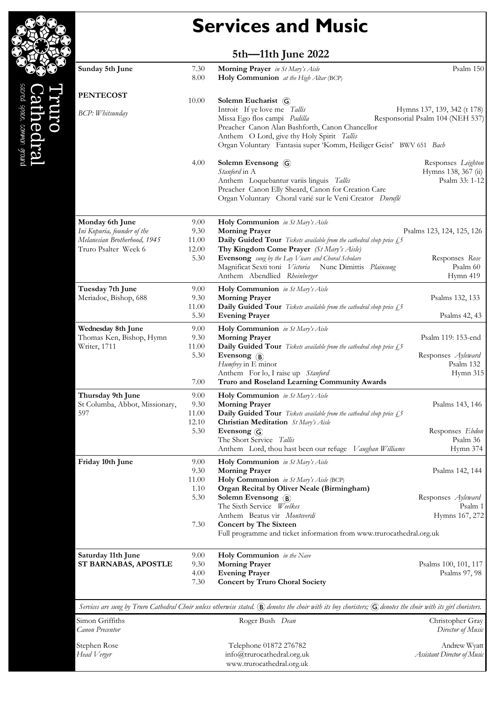| <b>Services and Music</b> |  |  |  |  |
|---------------------------|--|--|--|--|
|---------------------------|--|--|--|--|

| 5th-11th June 2022 |  |
|--------------------|--|
|--------------------|--|

sacred space, common ground

le.

ledral

| Sunday 5th June                                                                | 7.30<br>8.00          | Morning Prayer in St Mary's Aisle<br>Holy Communion at the High Altar (BCP)                                                                                                                         | Psalm 150                                                   |
|--------------------------------------------------------------------------------|-----------------------|-----------------------------------------------------------------------------------------------------------------------------------------------------------------------------------------------------|-------------------------------------------------------------|
| <b>PENTECOST</b>                                                               | 10.00                 | Solemn Eucharist (G)<br>Introit If ye love me Tallis                                                                                                                                                | Hymns 137, 139, 342 (t 178)                                 |
| <b>BCP:</b> Whitsunday                                                         |                       | Missa Ego flos campi Padilla<br>Preacher Canon Alan Bashforth, Canon Chancellor<br>Anthem O Lord, give thy Holy Spirit Tallis<br>Organ Voluntary Fantasia super 'Komm, Heiliger Geist' BWV 651 Bach | Responsorial Psalm 104 (NEH 537)                            |
|                                                                                | 4.00                  | Solemn Evensong G<br>Stanford in A<br>Anthem Loquebantur variis linguis Tallis<br>Preacher Canon Elly Sheard, Canon for Creation Care<br>Organ Voluntary Choral varié sur le Veni Creator Duruflé   | Responses Leighton<br>Hymns 138, 367 (ii)<br>Psalm 33: 1-12 |
| Monday 6th June<br>Ini Kopuria, founder of the<br>Melanesian Brotherhood, 1945 | 9.00<br>9.30<br>11.00 | Holy Communion in St Mary's Aisle<br><b>Morning Prayer</b><br>Daily Guided Tour Tickets available from the cathedral shop price £5                                                                  | Psalms 123, 124, 125, 126                                   |
| Truro Psalter Week 6                                                           | 12.00<br>5.30         | Thy Kingdom Come Prayer (St Mary's Aisle)<br>Evensong sung by the Lay Vicars and Choral Scholars<br>Magnificat Sexti toni Victoria Nunc Dimittis Plainsong<br>Anthem Abendlied Rheinberger          | Responses Rose<br>Psalm 60<br>Hymn 419                      |
| Tuesday 7th June<br>Meriadoc, Bishop, 688                                      | 9.00<br>9.30          | Holy Communion in St Mary's Aisle<br><b>Morning Prayer</b>                                                                                                                                          | Psalms 132, 133                                             |
|                                                                                | 11.00<br>5.30         | Daily Guided Tour Tickets available from the cathedral shop price £5<br><b>Evening Prayer</b>                                                                                                       | Psalms 42, 43                                               |
| Wednesday 8th June<br>Thomas Ken, Bishop, Hymn                                 | 9.00<br>9.30          | Holy Communion in St Mary's Aisle<br><b>Morning Prayer</b>                                                                                                                                          | Psalm 119: 153-end                                          |
| Writer, 1711                                                                   | 11.00                 | <b>Daily Guided Tour</b> Tickets available from the cathedral shop price £5                                                                                                                         |                                                             |
|                                                                                | 5.30                  | Evensong (B)<br>Humfrey in E minor<br>Anthem For lo, I raise up Stanford                                                                                                                            | Responses Ayleward<br>Psalm 132<br>Hymn 315                 |
|                                                                                | 7.00                  | Truro and Roseland Learning Community Awards                                                                                                                                                        |                                                             |
| Thursday 9th June                                                              | 9.00                  | Holy Communion in St Mary's Aisle                                                                                                                                                                   |                                                             |
| St Columba, Abbot, Missionary,<br>597                                          | 9.30<br>11.00         | <b>Morning Prayer</b><br><b>Daily Guided Tour</b> Tickets available from the cathedral shop price £,5                                                                                               | Psalms 143, 146                                             |
|                                                                                | 12.10                 | <b>Christian Meditation</b> St Mary's Aisle                                                                                                                                                         |                                                             |
|                                                                                | 5.30                  | Evensong (G)                                                                                                                                                                                        | Responses Ebdon                                             |
|                                                                                |                       | The Short Service Tallis<br>Anthem Lord, thou hast been our refuge Vaughan Williams                                                                                                                 | Psalm 36<br>Hymn 374                                        |
| Friday 10th June                                                               | 9.00                  | Holy Communion in St Mary's Aisle                                                                                                                                                                   |                                                             |
|                                                                                | 9.30                  | <b>Morning Prayer</b>                                                                                                                                                                               | Psalms 142, 144                                             |
|                                                                                | 11.00<br>1.10         | Holy Communion in St Mary's Aisle (BCP)<br>Organ Recital by Oliver Neale (Birmingham)                                                                                                               |                                                             |
|                                                                                | 5.30                  | Solemn Evensong (B)<br>The Sixth Service Weelkes                                                                                                                                                    | Responses Ayleward<br>Psalm 1                               |
|                                                                                |                       | Anthem Beatus vir Monteverdi                                                                                                                                                                        | Hymns 167, 272                                              |
|                                                                                | 7.30                  | <b>Concert by The Sixteen</b><br>Full programme and ticket information from www.trurocathedral.org.uk                                                                                               |                                                             |
| Saturday 11th June                                                             | 9.00                  | Holy Communion in the Nave                                                                                                                                                                          |                                                             |
| ST BARNABAS, APOSTLE                                                           | 9.30                  | <b>Morning Prayer</b>                                                                                                                                                                               | Psalms 100, 101, 117                                        |
|                                                                                | 4.00<br>7.30          | <b>Evening Prayer</b><br><b>Concert by Truro Choral Society</b>                                                                                                                                     | Psalms 97, 98                                               |
|                                                                                |                       | Services are sung by Truro Cathedral Choir unless otherwise stated. (B) denotes the choir with its boy choristers; (G) denotes the choir with its girl choristers.                                  |                                                             |
| Simon Griffiths<br>Canon Precentor                                             |                       | Roger Bush Dean                                                                                                                                                                                     | Christopher Gray<br>Director of Music                       |

Stephen Rose Head Verger Telephone 01872 276782 info@trurocathedral.org.uk www.trurocathedral.org.uk Andrew Wyatt Assistant Director of Music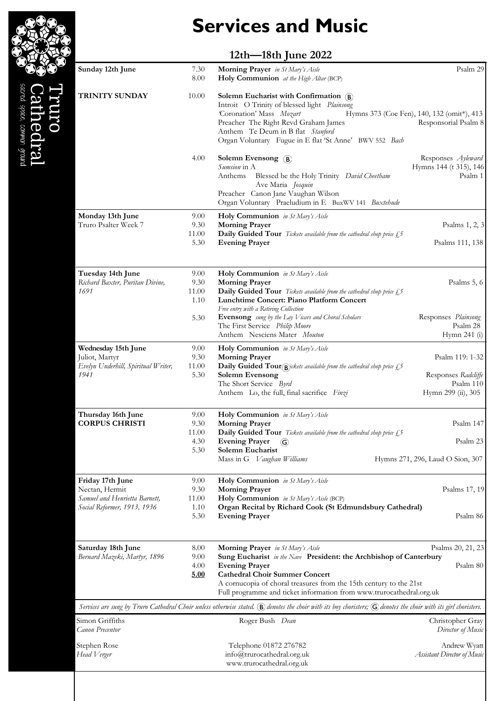# Services and Music

### 12th—18th June 2022

| Sunday 12th June                                                                                   | 7.30<br>8.00                  | Morning Prayer in St Mary's Aisle<br>Holy Communion at the High Altar (BCP)                                                                                                                                                                                                                                             | Psalm 29                                                                  |
|----------------------------------------------------------------------------------------------------|-------------------------------|-------------------------------------------------------------------------------------------------------------------------------------------------------------------------------------------------------------------------------------------------------------------------------------------------------------------------|---------------------------------------------------------------------------|
| <b>TRINITY SUNDAY</b>                                                                              | 10.00                         | Solemn Eucharist with Confirmation $\left(\widehat{B}\right)$<br>Introit O Trinity of blessed light Plainsong<br>Coronation' Mass Mozart<br>Preacher The Right Revd Graham James<br>Anthem Te Deum in B flat Stanford<br>Organ Voluntary Fugue in E flat 'St Anne' BWV 552 Bach                                         | Hymns 373 (Coe Fen), 140, 132 (omit*), 413<br>Responsorial Psalm 8        |
|                                                                                                    | 4.00                          | Solemn Evensong (B)<br>Sumsion in A<br>Blessed be the Holy Trinity David Cheetham<br>Anthems<br>Ave Maria Josquin<br>Preacher Canon Jane Vaughan Wilson<br>Organ Voluntary Praeludium in E BuxWV 141 Buxtehude                                                                                                          | Responses Ayleward<br>Hymns 144 (t 315), 146<br>Psalm 1                   |
| Monday 13th June<br>Truro Psalter Week 7                                                           | 9.00<br>9.30<br>11.00<br>5.30 | Holy Communion in St Mary's Aisle<br><b>Morning Prayer</b><br>Daily Guided Tour Tickets available from the cathedral shop price £5<br><b>Evening Prayer</b>                                                                                                                                                             | Psalms 1, 2, 3<br>Psalms 111, 138                                         |
| Tuesday 14th June<br>Richard Baxter, Puritan Divine,<br>1691                                       | 9.00<br>9.30<br>11.00<br>1.10 | Holy Communion in St Mary's Aisle<br><b>Morning Prayer</b><br><b>Daily Guided Tour</b> Tickets available from the cathedral shop price $\mathcal{L}^5$<br><b>Lunchtime Concert: Piano Platform Concert</b><br>Free entry with a Retiring Collection                                                                     | Psalms 5, 6                                                               |
|                                                                                                    | 5.30                          | Evensong sung by the Lay Vicars and Choral Scholars<br>The First Service Philip Moore<br>Anthem Nesciens Mater Mouton                                                                                                                                                                                                   | Responses Plainsong<br>Psalm 28<br>Hymn 241 (i)                           |
| Wednesday 15th June<br>Juliot, Martyr<br>Evelyn Underhill, Spiritual Writer,<br>1941               | 9.00<br>9.30<br>11.00<br>5.30 | Holy Communion in St Mary's Aisle<br><b>Morning Prayer</b><br><b>Daily Guided Tour</b> $\overline{B}$ <i>jckets available from the cathedral shop price</i> £5<br><b>Solemn Evensong</b><br>The Short Service Byrd<br>Anthem Lo, the full, final sacrifice Finzi                                                        | Psalm 119: 1-32<br>Responses Radcliffe<br>Psalm 110<br>Hymn 299 (ii), 305 |
| Thursday 16th June<br><b>CORPUS CHRISTI</b>                                                        | 9.00<br>9.30<br>11.00         | Holy Communion in St Mary's Aisle<br><b>Morning Prayer</b><br>Daily Guided Tour Tickets available from the cathedral shop price £,5                                                                                                                                                                                     | Psalm 147                                                                 |
|                                                                                                    | 4.30<br>5.30                  | <b>Evening Prayer</b><br>$\circled{c}$<br>Solemn Eucharist<br>Mass in G Vaughan Williams                                                                                                                                                                                                                                | Psalm 23<br>Hymns 271, 296, Laud O Sion, 307                              |
| Friday 17th June<br>Nectan, Hermit<br>Samuel and Henrietta Barnett,<br>Social Reformer, 1913, 1936 | 9.00<br>9.30<br>11.00<br>1.10 | Holy Communion in St Mary's Aisle<br><b>Morning Prayer</b><br>Holy Communion in St Mary's Aisle (BCP)<br>Organ Recital by Richard Cook (St Edmundsbury Cathedral)                                                                                                                                                       | Psalms 17, 19                                                             |
|                                                                                                    | 5.30                          | <b>Evening Prayer</b>                                                                                                                                                                                                                                                                                                   | Psalm 86                                                                  |
| Saturday 18th June<br>Bernard Mazeki, Martyr, 1896                                                 | 8.00<br>9.00<br>4.00<br>5.00  | Morning Prayer in St Mary's Aisle<br>Sung Eucharist in the Nave President: the Archbishop of Canterbury<br><b>Evening Prayer</b><br><b>Cathedral Choir Summer Concert</b><br>A cornucopia of choral treasures from the 15th century to the 21st<br>Full programme and ticket information from www.trurocathedral.org.uk | Psalms 20, 21, 23<br>Psalm 80                                             |
|                                                                                                    |                               | Services are sung by Truro Cathedral Choir unless otherwise stated. (B) denotes the choir with its boy choristers; (G) denotes the choir with its girl choristers.                                                                                                                                                      |                                                                           |
| Simon Griffiths<br>Canon Precentor                                                                 |                               | Roger Bush Dean                                                                                                                                                                                                                                                                                                         | Christopher Gray<br>Director of Music                                     |
| Stephen Rose<br>Head Verger                                                                        |                               | Telephone 01872 276782<br>info@trurocathedral.org.uk<br>www.trurocathedral.org.uk                                                                                                                                                                                                                                       | Andrew Wyatt<br>Assistant Director of Music                               |

sacred space, common ground ledral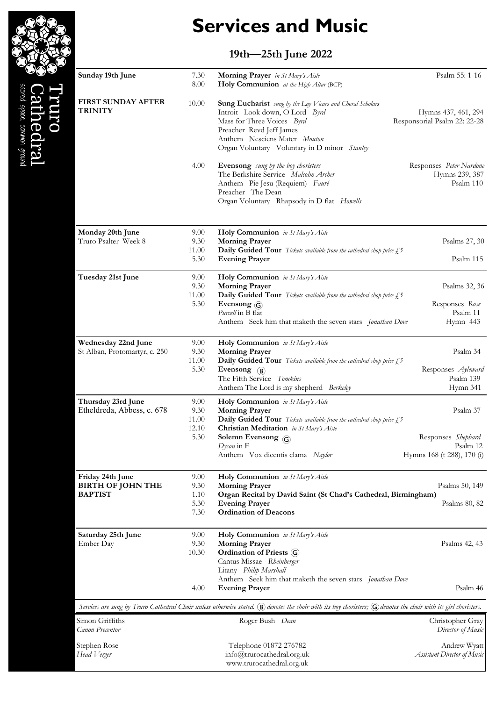# Services and Music

### 19th—25th June 2022

| Sunday 19th June                                               | 7.30<br>8.00                           | Morning Prayer in St Mary's Aisle<br>Holy Communion at the High Altar (BCP)                                                                                                                                                                                              | Psalm 55: 1-16                                                           |
|----------------------------------------------------------------|----------------------------------------|--------------------------------------------------------------------------------------------------------------------------------------------------------------------------------------------------------------------------------------------------------------------------|--------------------------------------------------------------------------|
| <b>FIRST SUNDAY AFTER</b><br><b>TRINITY</b>                    | 10.00                                  | Sung Eucharist sung by the Lay Vicars and Choral Scholars<br>Introit Look down, O Lord Byrd<br>Mass for Three Voices Byrd<br>Preacher Revd Jeff James<br>Anthem Nesciens Mater Mouton<br>Organ Voluntary Voluntary in D minor Stanley                                    | Hymns 437, 461, 294<br>Responsorial Psalm 22: 22-28                      |
|                                                                | 4.00                                   | Evensong sung by the boy choristers<br>The Berkshire Service Malcolm Archer<br>Anthem Pie Jesu (Requiem) Fauré<br>Preacher The Dean<br>Organ Voluntary Rhapsody in D flat Howells                                                                                        | Responses Peter Nardone<br>Hymns 239, 387<br>Psalm 110                   |
| Monday 20th June<br>Truro Psalter Week 8                       | 9.00<br>9.30<br>11.00<br>5.30          | Holy Communion in St Mary's Aisle<br><b>Morning Prayer</b><br>Daily Guided Tour Tickets available from the cathedral shop price £,5<br><b>Evening Prayer</b>                                                                                                             | Psalms 27, 30<br>Psalm 115                                               |
| Tuesday 21st June                                              | 9.00<br>9.30<br>11.00<br>5.30          | Holy Communion in St Mary's Aisle<br><b>Morning Prayer</b><br><b>Daily Guided Tour</b> Tickets available from the cathedral shop price $\mathcal{L}^5$<br>Evensong (G)<br><i>Purcell</i> in B flat<br>Anthem Seek him that maketh the seven stars Jonathan Dove          | Psalms 32, 36<br>Responses Rose<br>Psalm 11<br>Hymn 443                  |
| Wednesday 22nd June<br>St Alban, Protomartyr, c. 250           | 9.00<br>9.30<br>11.00<br>5.30          | Holy Communion in St Mary's Aisle<br><b>Morning Prayer</b><br>Daily Guided Tour Tickets available from the cathedral shop price £,5<br>Evensong $(B)$<br>The Fifth Service Tomkins<br>Anthem The Lord is my shepherd Berkeley                                            | Psalm 34<br>Responses Ayleward<br>Psalm 139<br>Hymn 341                  |
| Thursday 23rd June<br>Etheldreda, Abbess, c. 678               | 9.00<br>9.30<br>11.00<br>12.10<br>5.30 | Holy Communion in St Mary's Aisle<br><b>Morning Prayer</b><br><b>Daily Guided Tour</b> Tickets available from the cathedral shop price £5<br><b>Christian Meditation</b> in St Mary's Aisle<br>Solemn Evensong $\odot$<br>Dyson in F<br>Anthem Vox dicentis clama Naylor | Psalm 37<br>Responses Shephard<br>Psalm 12<br>Hymns 168 (t 288), 170 (i) |
| Friday 24th June<br><b>BIRTH OF JOHN THE</b><br><b>BAPTIST</b> | 9.00<br>9.30<br>1.10<br>5.30<br>7.30   | <b>Holy Communion</b> in St Mary's Aisle<br><b>Morning Prayer</b><br>Organ Recital by David Saint (St Chad's Cathedral, Birmingham)<br><b>Evening Prayer</b><br><b>Ordination of Deacons</b>                                                                             | Psalms 50, 149<br>Psalms 80, 82                                          |
| Saturday 25th June<br>Ember Day                                | 9.00<br>9.30<br>10.30                  | Holy Communion in St Mary's Aisle<br><b>Morning Prayer</b><br>Ordination of Priests (G)<br>Cantus Missae Rheinberger<br>Litany Philip Marshall                                                                                                                           | Psalms 42, 43                                                            |
|                                                                | 4.00                                   | Anthem Seek him that maketh the seven stars Jonathan Dove<br><b>Evening Prayer</b><br>Services are sung by Truro Cathedral Choir unless otherwise stated. $\mathbb B$ denotes the choir with its boy choristers; $\mathbb G$ denotes the choir with its girl choristers. | Psalm 46                                                                 |
| Simon Griffiths<br>Canon Precentor                             |                                        | Roger Bush Dean                                                                                                                                                                                                                                                          | Christopher Gray<br>Director of Music                                    |
| Stephen Rose<br>Head Verger                                    |                                        | Telephone 01872 276782<br>info@trurocathedral.org.uk<br>www.trurocathedral.org.uk                                                                                                                                                                                        | Andrew Wyatt<br>Assistant Director of Music                              |



acred space, common ground ledral